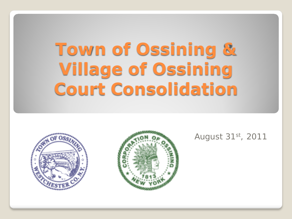# **Town of Ossining & Village of Ossining Court Consolidation**





August 31st, 2011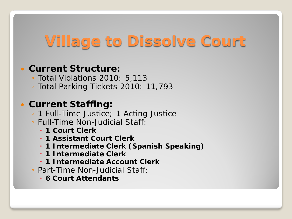## **Village to Dissolve Court**

#### **Current Structure:**

- Total Violations 2010: 5,113
- Total Parking Tickets 2010: 11,793

#### **Current Staffing:**

- 1 Full-Time Justice; 1 Acting Justice
- Full-Time Non-Judicial Staff:
	- **1 Court Clerk**
	- **1 Assistant Court Clerk**
	- **1 Intermediate Clerk (Spanish Speaking)**
	- **1 Intermediate Clerk**
	- **1 Intermediate Account Clerk**
- Part-Time Non-Judicial Staff:
	- **6 Court Attendants**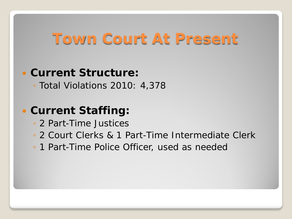### **Town Court At Present**

### **Current Structure:**

◦ Total Violations 2010: 4,378

### **Current Staffing:**

- 2 Part-Time Justices
- 2 Court Clerks & 1 Part-Time Intermediate Clerk
- 1 Part-Time Police Officer, used as needed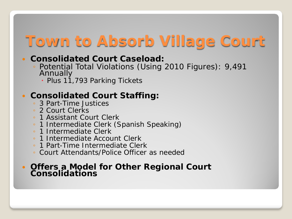# **Town to Absorb Village Court**

#### **Consolidated Court Caseload:**

- Potential Total Violations (Using 2010 Figures): 9,491 Annually
	- Plus 11,793 Parking Tickets

#### **Consolidated Court Staffing:**

- 3 Part-Time Justices
- 2 Court Clerks
- 1 Assistant Court Clerk
- 1 Intermediate Clerk (Spanish Speaking)
- 1 Intermediate Clerk
- 1 Intermediate Account Clerk
- 1 Part-Time Intermediate Clerk
- Court Attendants/Police Officer as needed

#### **Offers a Model for Other Regional Court Consolidations**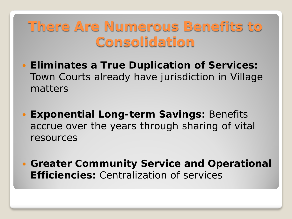### **There Are Numerous Benefits to Consolidation**

- **Eliminates a True Duplication of Services:**  Town Courts already have jurisdiction in Village matters
- **Exponential Long-term Savings:** Benefits accrue over the years through sharing of vital resources
- **Greater Community Service and Operational Efficiencies:** Centralization of services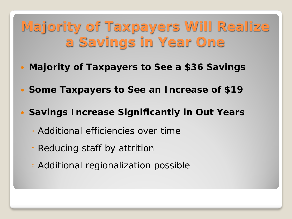### **Majority of Taxpayers Will Realize a Savings in Year One**

- **Majority of Taxpayers to See a \$36 Savings**
- **Some Taxpayers to See an Increase of \$19**
- **Savings Increase Significantly in Out Years**
	- Additional efficiencies over time
	- Reducing staff by attrition
	- Additional regionalization possible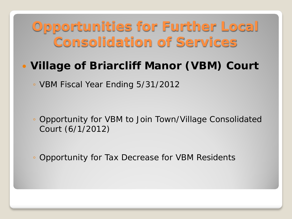### **Opportunities for Further Local Consolidation of Services**

### **Village of Briarcliff Manor (VBM) Court**

◦ VBM Fiscal Year Ending 5/31/2012

◦ Opportunity for VBM to Join Town/Village Consolidated Court (6/1/2012)

◦ Opportunity for Tax Decrease for VBM Residents